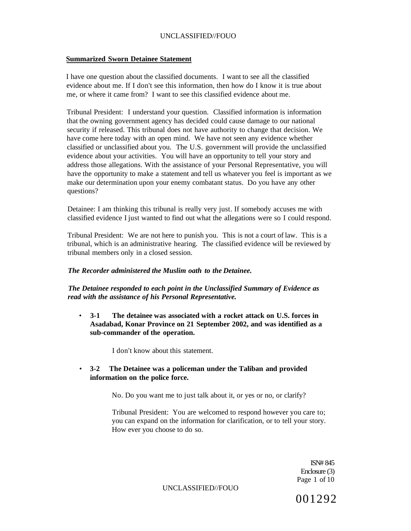# **Summarized Sworn Detainee Statement**

I have one question about the classified documents. I want to see all the classified evidence about me. If I don't see this information, then how do I know it is true about me, or where it came from? I want to see this classified evidence about me.

Tribunal President: I understand your question. Classified information is information that the owning government agency has decided could cause damage to our national security if released. This tribunal does not have authority to change that decision. We have come here today with an open mind. We have not seen any evidence whether classified or unclassified about you. The U.S. government will provide the unclassified evidence about your activities. You will have an opportunity to tell your story and address those allegations. With the assistance of your Personal Representative, you will have the opportunity to make a statement and tell us whatever you feel is important as we make our determination upon your enemy combatant status. Do you have any other questions?

Detainee: I am thinking this tribunal is really very just. If somebody accuses me with classified evidence I just wanted to find out what the allegations were so I could respond.

Tribunal President: We are not here to punish you. This is not a court of law. This is a tribunal, which is an administrative hearing. The classified evidence will be reviewed by tribunal members only in a closed session.

#### *The Recorder administered the Muslim oath to the Detainee.*

*The Detainee responded to each point in the Unclassified Summary of Evidence as read with the assistance of his Personal Representative.* 

• **3-1 The detainee was associated with a rocket attack on U.S. forces in Asadabad, Konar Province on 21 September 2002, and was identified as a sub-commander of the operation.** 

I don't know about this statement.

• **3-2 The Detainee was a policeman under the Taliban and provided information on the police force.** 

No. Do you want me to just talk about it, or yes or no, or clarify?

Tribunal President: You are welcomed to respond however you care to; you can expand on the information for clarification, or to tell your story. How ever you choose to do so.

> ISN# 845 Enclosure (3) Page 1 of 10

UNCLASSIFIED//FOUO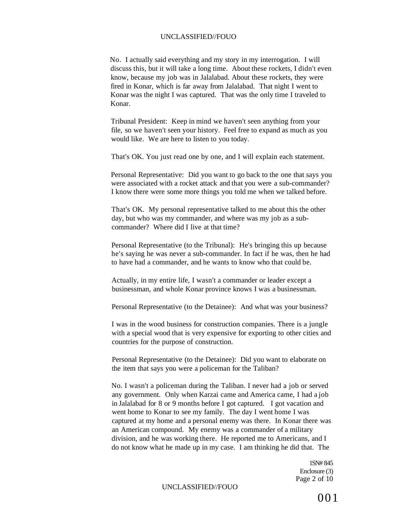No. I actually said everything and my story in my interrogation. I will discuss this, but it will take a long time. About these rockets, I didn't even know, because my job was in Jalalabad. About these rockets, they were fired in Konar, which is far away from Jalalabad. That night I went to Konar was the night I was captured. That was the only time I traveled to Konar.

Tribunal President: Keep in mind we haven't seen anything from your file, so we haven't seen your history. Feel free to expand as much as you would like. We are here to listen to you today.

That's OK. You just read one by one, and I will explain each statement.

Personal Representative: Did you want to go back to the one that says you were associated with a rocket attack and that you were a sub-commander? I know there were some more things you told me when we talked before.

That's OK. My personal representative talked to me about this the other day, but who was my commander, and where was my job as a subcommander? Where did I live at that time?

Personal Representative (to the Tribunal): He's bringing this up because he's saying he was never a sub-commander. In fact if he was, then he had to have had a commander, and he wants to know who that could be.

Actually, in my entire life, I wasn't a commander or leader except a businessman, and whole Konar province knows I was a businessman.

Personal Representative (to the Detainee): And what was your business?

I was in the wood business for construction companies. There is a jungle with a special wood that is very expensive for exporting to other cities and countries for the purpose of construction.

Personal Representative (to the Detainee): Did you want to elaborate on the item that says you were a policeman for the Taliban?

No. I wasn't a policeman during the Taliban. I never had a job or served any government. Only when Karzai came and America came, I had a job in Jalalabad for 8 or 9 months before I got captured. I got vacation and went home to Konar to see my family. The day I went home I was captured at my home and a personal enemy was there. In Konar there was an American compound. My enemy was a commander of a military division, and he was working there. He reported me to Americans, and I do not know what he made up in my case. I am thinking he did that. The

> 1SN# 845 Enclosure (3) Page 2 of 10

#### UNCLASSIFIED//FOUO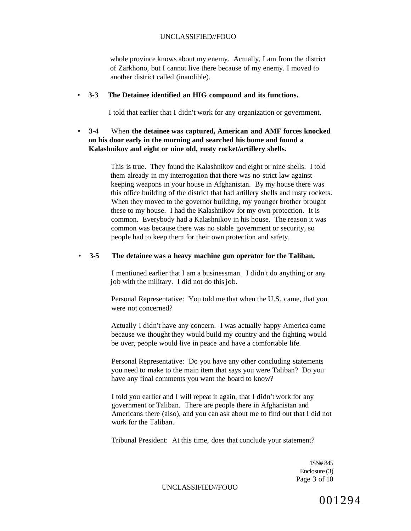whole province knows about my enemy. Actually, I am from the district of Zarkhono, but I cannot live there because of my enemy. I moved to another district called (inaudible).

#### • **3-3 The Detainee identified an HIG compound and its functions.**

I told that earlier that I didn't work for any organization or government.

# • **3-4** When **the detainee was captured, American and AMF forces knocked on his door early in the morning and searched his home and found a Kalashnikov and eight or nine old, rusty rocket/artillery shells.**

This is true. They found the Kalashnikov and eight or nine shells. I told them already in my interrogation that there was no strict law against keeping weapons in your house in Afghanistan. By my house there was this office building of the district that had artillery shells and rusty rockets. When they moved to the governor building, my younger brother brought these to my house. I had the Kalashnikov for my own protection. It is common. Everybody had a Kalashnikov in his house. The reason it was common was because there was no stable government or security, so people had to keep them for their own protection and safety.

#### • **3-5 The detainee was a heavy machine gun operator for the Taliban,**

I mentioned earlier that I am a businessman. I didn't do anything or any job with the military. I did not do this job.

Personal Representative: You told me that when the U.S. came, that you were not concerned?

Actually I didn't have any concern. I was actually happy America came because we thought they would build my country and the fighting would be over, people would live in peace and have a comfortable life.

Personal Representative: Do you have any other concluding statements you need to make to the main item that says you were Taliban? Do you have any final comments you want the board to know?

I told you earlier and I will repeat it again, that I didn't work for any government or Taliban. There are people there in Afghanistan and Americans there (also), and you can ask about me to find out that I did not work for the Taliban.

Tribunal President: At this time, does that conclude your statement?

1SN# 845 Enclosure (3) Page 3 of 10

UNCLASSIFIED//FOUO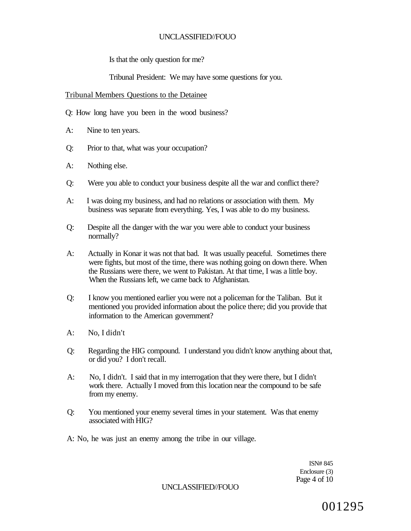Is that the only question for me?

Tribunal President: We may have some questions for you.

#### Tribunal Members Questions to the Detainee

Q: How long have you been in the wood business?

- A: Nine to ten years.
- Q: Prior to that, what was your occupation?
- A: Nothing else.
- Q: Were you able to conduct your business despite all the war and conflict there?
- A: I was doing my business, and had no relations or association with them. My business was separate from everything. Yes, I was able to do my business.
- Q: Despite all the danger with the war you were able to conduct your business normally?
- A: Actually in Konar it was not that bad. It was usually peaceful. Sometimes there were fights, but most of the time, there was nothing going on down there. When the Russians were there, we went to Pakistan. At that time, I was a little boy. When the Russians left, we came back to Afghanistan.
- Q: I know you mentioned earlier you were not a policeman for the Taliban. But it mentioned you provided information about the police there; did you provide that information to the American government?
- A: No, I didn't
- Q: Regarding the HIG compound. I understand you didn't know anything about that, or did you? I don't recall.
- A: No, I didn't. I said that in my interrogation that they were there, but I didn't work there. Actually I moved from this location near the compound to be safe from my enemy.
- Q: You mentioned your enemy several times in your statement. Was that enemy associated with HIG?
- A: No, he was just an enemy among the tribe in our village.

ISN# 845 Enclosure (3) Page 4 of 10

UNCLASSIFIED//FOUO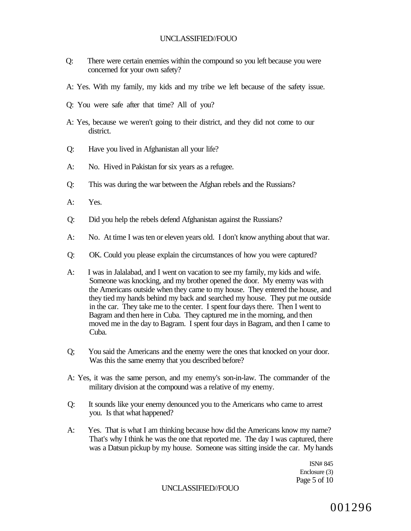- Q: There were certain enemies within the compound so you left because you were concerned for your own safety?
- A: Yes. With my family, my kids and my tribe we left because of the safety issue.
- Q: You were safe after that time? All of you?
- A: Yes, because we weren't going to their district, and they did not come to our district.
- Q: Have you lived in Afghanistan all your life?
- A: No. Hived in Pakistan for six years as a refugee.
- Q: This was during the war between the Afghan rebels and the Russians?
- A: Yes.
- Q: Did you help the rebels defend Afghanistan against the Russians?
- A: No. At time I was ten or eleven years old. I don't know anything about that war.
- Q: OK. Could you please explain the circumstances of how you were captured?
- A: I was in Jalalabad, and I went on vacation to see my family, my kids and wife. Someone was knocking, and my brother opened the door. My enemy was with the Americans outside when they came to my house. They entered the house, and they tied my hands behind my back and searched my house. They put me outside in the car. They take me to the center. I spent four days there. Then I went to Bagram and then here in Cuba. They captured me in the morning, and then moved me in the day to Bagram. I spent four days in Bagram, and then I came to Cuba.
- Q; You said the Americans and the enemy were the ones that knocked on your door. Was this the same enemy that you described before?
- A: Yes, it was the same person, and my enemy's son-in-law. The commander of the military division at the compound was a relative of my enemy.
- Q: It sounds like your enemy denounced you to the Americans who came to arrest you. Is that what happened?
- A: Yes. That is what I am thinking because how did the Americans know my name? That's why I think he was the one that reported me. The day I was captured, there was a Datsun pickup by my house. Someone was sitting inside the car. My hands

ISN# 845 Enclosure (3) Page 5 of 10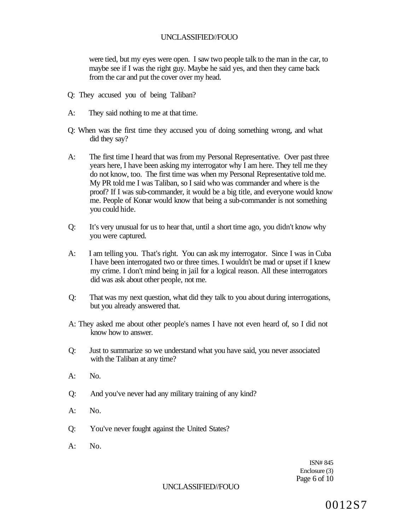were tied, but my eyes were open. I saw two people talk to the man in the car, to maybe see if I was the right guy. Maybe he said yes, and then they came back from the car and put the cover over my head.

- Q: They accused you of being Taliban?
- A: They said nothing to me at that time.
- Q: When was the first time they accused you of doing something wrong, and what did they say?
- A: The first time I heard that was from my Personal Representative. Over past three years here, I have been asking my interrogator why I am here. They tell me they do not know, too. The first time was when my Personal Representative told me. My PR told me I was Taliban, so I said who was commander and where is the proof? If I was sub-commander, it would be a big title, and everyone would know me. People of Konar would know that being a sub-commander is not something you could hide.
- Q: It's very unusual for us to hear that, until a short time ago, you didn't know why you were captured.
- A: I am telling you. That's right. You can ask my interrogator. Since I was in Cuba I have been interrogated two or three times. I wouldn't be mad or upset if I knew my crime. I don't mind being in jail for a logical reason. All these interrogators did was ask about other people, not me.
- Q: That was my next question, what did they talk to you about during interrogations, but you already answered that.
- A: They asked me about other people's names I have not even heard of, so I did not know how to answer.
- Q: Just to summarize so we understand what you have said, you never associated with the Taliban at any time?
- A: No.
- Q: And you've never had any military training of any kind?
- A: No.
- Q: You've never fought against the United States?
- $A:$  No.

ISN# 845 Enclosure (3) Page 6 of 10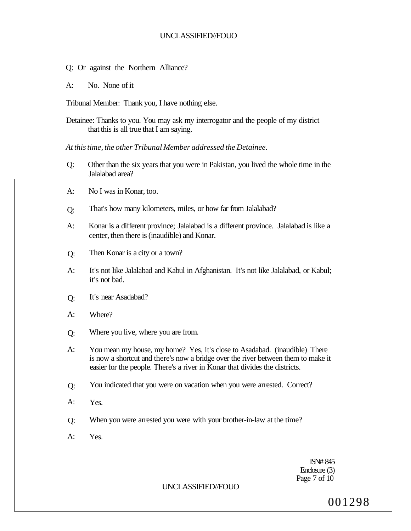- Q: Or against the Northern Alliance?
- A: No. None of it

Tribunal Member: Thank you, I have nothing else.

Detainee: Thanks to you. You may ask my interrogator and the people of my district that this is all true that I am saying.

*At this time, the other Tribunal Member addressed the Detainee.* 

- Q: Other than the six years that you were in Pakistan, you lived the whole time in the Jalalabad area?
- A: No I was in Konar, too.
- Q: That's how many kilometers, miles, or how far from Jalalabad?
- A: Konar is a different province; Jalalabad is a different province. Jalalabad is like a center, then there is (inaudible) and Konar.
- Q: Then Konar is a city or a town?
- A: It's not like Jalalabad and Kabul in Afghanistan. It's not like Jalalabad, or Kabul; it's not bad.
- Q: It's near Asadabad?
- A: Where?
- Q: Where you live, where you are from.
- A: You mean my house, my home? Yes, it's close to Asadabad. (inaudible) There is now a shortcut and there's now a bridge over the river between them to make it easier for the people. There's a river in Konar that divides the districts.
- Q: You indicated that you were on vacation when you were arrested. Correct?
- A: Yes.
- Q: When you were arrested you were with your brother-in-law at the time?
- A: Yes.

ISN# 845 Enclosure (3) Page 7 of 10

# UNCLASSIFIED//FOUO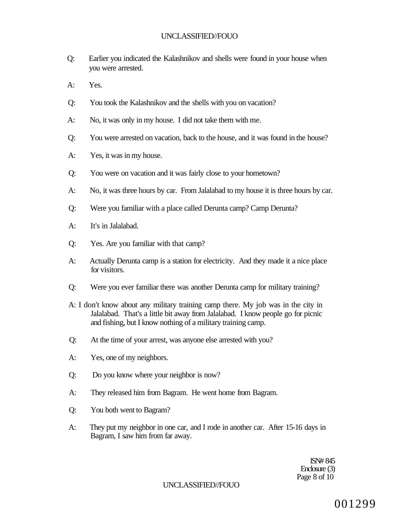- Q: Earlier you indicated the Kalashnikov and shells were found in your house when you were arrested.
- A: Yes.
- Q: You took the Kalashnikov and the shells with you on vacation?
- A: No, it was only in my house. I did not take them with me.
- Q: You were arrested on vacation, back to the house, and it was found in the house?
- A: Yes, it was in my house.
- Q: You were on vacation and it was fairly close to your hometown?
- A: No, it was three hours by car. From Jalalabad to my house it is three hours by car.
- Q: Were you familiar with a place called Derunta camp? Camp Derunta?
- A: It's in Jalalabad.
- Q: Yes. Are you familiar with that camp?
- A: Actually Derunta camp is a station for electricity. And they made it a nice place for visitors.
- Q: Were you ever familiar there was another Derunta camp for military training?
- A: I don't know about any military training camp there. My job was in the city in Jalalabad. That's a little bit away from Jalalabad. I know people go for picnic and fishing, but I know nothing of a military training camp.
- Q: At the time of your arrest, was anyone else arrested with you?
- A: Yes, one of my neighbors.
- Q: Do you know where your neighbor is now?
- A: They released him from Bagram. He went home from Bagram.
- Q: You both went to Bagram?
- A: They put my neighbor in one car, and I rode in another car. After 15-16 days in Bagram, I saw him from far away.

ISN# 845 Enclosure (3) Page 8 of 10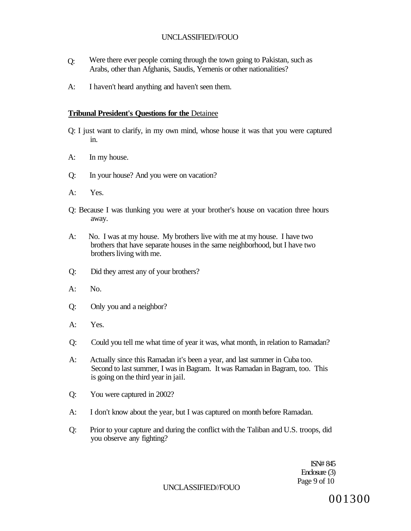- $O:$ Were there ever people coming through the town going to Pakistan, such as Arabs, other than Afghanis, Saudis, Yemenis or other nationalities?
- A: I haven't heard anything and haven't seen them.

# **Tribunal President's Questions for the** Detainee

- Q: I just want to clarify, in my own mind, whose house it was that you were captured in.
- A: In my house.
- Q: In your house? And you were on vacation?
- A: Yes.
- Q: Because I was tlunking you were at your brother's house on vacation three hours away.
- A: No. I was at my house. My brothers live with me at my house. I have two brothers that have separate houses in the same neighborhood, but I have two brothers living with me.
- Q: Did they arrest any of your brothers?
- $A:$  No.
- Q: Only you and a neighbor?
- A: Yes.
- Q: Could you tell me what time of year it was, what month, in relation to Ramadan?
- A: Actually since this Ramadan it's been a year, and last summer in Cuba too. Second to last summer, I was in Bagram. It was Ramadan in Bagram, too. This is going on the third year in jail.
- Q: You were captured in 2002?
- A: I don't know about the year, but I was captured on month before Ramadan.
- Q: Prior to your capture and during the conflict with the Taliban and U.S. troops, did you observe any fighting?

ISN# 845 Enclosure (3) Page 9 of 10

UNCLASSIFIED//FOUO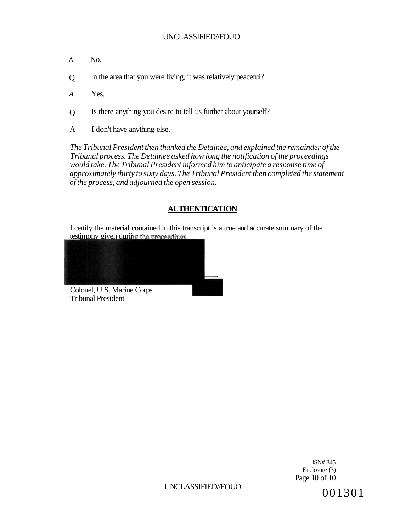- A No.
- $\theta$ In the area that you were living, it was relatively peaceful?
- *A*  Yes.
- $\overline{O}$ Is there anything you desire to tell us further about yourself?
- A I don't have anything else.

*The Tribunal President then thanked the Detainee, and explained the remainder of the Tribunal process. The Detainee asked how long the notification of the proceedings would take. The Tribunal President informed him to anticipate a response time of approximately thirty to sixty days. The Tribunal President then completed the statement of the process, and adjourned the open session.* 

# **AUTHENTICATION**

I certify the material contained in this transcript is a true and accurate summary of the testimony given during the proceedings.



Colonel, U.S. Marine Corps Tribunal President

> ISN# 845 Enclosure (3) Page 10 of 10

UNCLASSIFIED//FOUO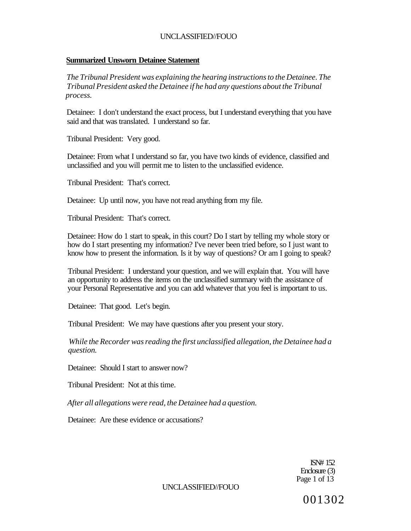### **Summarized Unsworn Detainee Statement**

*The Tribunal President was explaining the hearing instructions to the Detainee. The Tribunal President asked the Detainee if he had any questions about the Tribunal process.* 

Detainee: I don't understand the exact process, but I understand everything that you have said and that was translated. I understand so far.

Tribunal President: Very good.

Detainee: From what I understand so far, you have two kinds of evidence, classified and unclassified and you will permit me to listen to the unclassified evidence.

Tribunal President: That's correct.

Detainee: Up until now, you have not read anything from my file.

Tribunal President: That's correct.

Detainee: How do 1 start to speak, in this court? Do I start by telling my whole story or how do I start presenting my information? I've never been tried before, so I just want to know how to present the information. Is it by way of questions? Or am I going to speak?

Tribunal President: I understand your question, and we will explain that. You will have an opportunity to address the items on the unclassified summary with the assistance of your Personal Representative and you can add whatever that you feel is important to us.

Detainee: That good. Let's begin.

Tribunal President: We may have questions after you present your story.

*While the Recorder was reading the first unclassified allegation, the Detainee had a question.* 

Detainee: Should I start to answer now?

Tribunal President: Not at this time.

*After all allegations were read, the Detainee had a question.* 

Detainee: Are these evidence or accusations?

ISN# 152 Enclosure (3) Page 1 of 13

UNCLASSIFIED//FOUO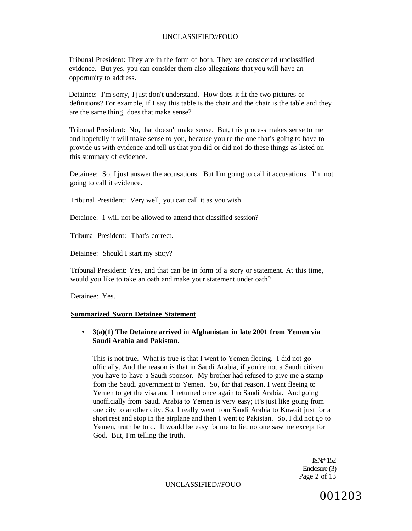Tribunal President: They are in the form of both. They are considered unclassified evidence. But yes, you can consider them also allegations that you will have an opportunity to address.

Detainee: I'm sorry, I just don't understand. How does it fit the two pictures or definitions? For example, if I say this table is the chair and the chair is the table and they are the same thing, does that make sense?

Tribunal President: No, that doesn't make sense. But, this process makes sense to me and hopefully it will make sense to you, because you're the one that's going to have to provide us with evidence and tell us that you did or did not do these things as listed on this summary of evidence.

Detainee: So, I just answer the accusations. But I'm going to call it accusations. I'm not going to call it evidence.

Tribunal President: Very well, you can call it as you wish.

Detainee: 1 will not be allowed to attend that classified session?

Tribunal President: That's correct.

Detainee: Should I start my story?

Tribunal President: Yes, and that can be in form of a story or statement. At this time, would you like to take an oath and make your statement under oath?

Detainee: Yes.

#### **Summarized Sworn Detainee Statement**

# **• 3(a)(1) The Detainee arrived** in **Afghanistan in late 2001 from Yemen via Saudi Arabia and Pakistan.**

This is not true. What is true is that I went to Yemen fleeing. I did not go officially. And the reason is that in Saudi Arabia, if you're not a Saudi citizen, you have to have a Saudi sponsor. My brother had refused to give me a stamp from the Saudi government to Yemen. So, for that reason, I went fleeing to Yemen to get the visa and 1 returned once again to Saudi Arabia. And going unofficially from Saudi Arabia to Yemen is very easy; it's just like going from one city to another city. So, I really went from Saudi Arabia to Kuwait just for a short rest and stop in the airplane and then I went to Pakistan. So, I did not go to Yemen, truth be told. It would be easy for me to lie; no one saw me except for God. But, I'm telling the truth.

> ISN# 152 Enclosure (3) Page 2 of 13

UNCLASSIFIED//FOUO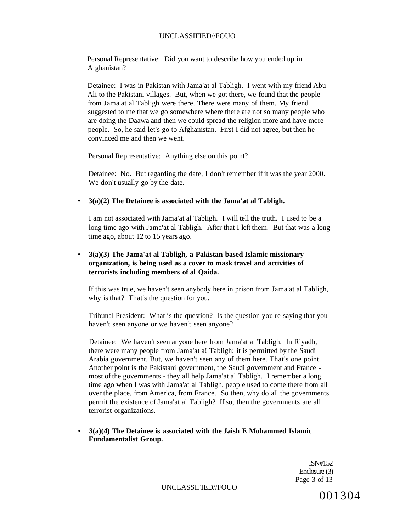Personal Representative: Did you want to describe how you ended up in Afghanistan?

Detainee: I was in Pakistan with Jama'at al Tabligh. I went with my friend Abu Ali to the Pakistani villages. But, when we got there, we found that the people from Jama'at al Tabligh were there. There were many of them. My friend suggested to me that we go somewhere where there are not so many people who are doing the Daawa and then we could spread the religion more and have more people. So, he said let's go to Afghanistan. First I did not agree, but then he convinced me and then we went.

Personal Representative: Anything else on this point?

Detainee: No. But regarding the date, I don't remember if it was the year 2000. We don't usually go by the date.

#### • **3(a)(2) The Detainee is associated with the Jama'at al Tabligh.**

I am not associated with Jama'at al Tabligh. I will tell the truth. I used to be a long time ago with Jama'at al Tabligh. After that I left them. But that was a long time ago, about 12 to 15 years ago.

# • **3(a)(3) The Jama'at al Tabligh, a Pakistan-based Islamic missionary organization, is being used as a cover to mask travel and activities of terrorists including members of al Qaida.**

If this was true, we haven't seen anybody here in prison from Jama'at al Tabligh, why is that? That's the question for you.

Tribunal President: What is the question? Is the question you're saying that you haven't seen anyone or we haven't seen anyone?

Detainee: We haven't seen anyone here from Jama'at al Tabligh. In Riyadh, there were many people from Jama'at a! Tabligh; it is permitted by the Saudi Arabia government. But, we haven't seen any of them here. That's one point. Another point is the Pakistani government, the Saudi government and France most of the governments - they all help Jama'at al Tabligh. I remember a long time ago when I was with Jama'at al Tabligh, people used to come there from all over the place, from America, from France. So then, why do all the governments permit the existence of Jama'at al Tabligh? If so, then the governments are all terrorist organizations.

#### • **3(a)(4) The Detainee is associated with the Jaish E Mohammed Islamic Fundamentalist Group.**

ISN#152 Enclosure (3) Page 3 of 13

UNCLASSIFIED//FOUO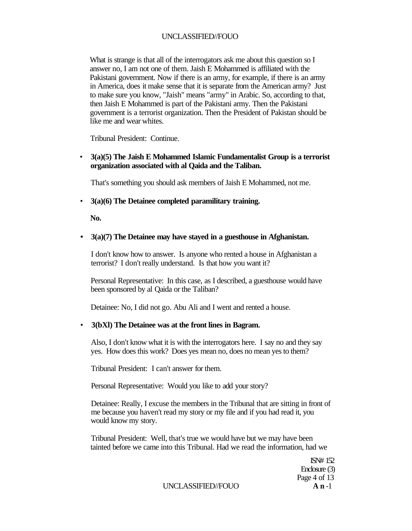What is strange is that all of the interrogators ask me about this question so I answer no, I am not one of them. Jaish E Mohammed is affiliated with the Pakistani government. Now if there is an army, for example, if there is an army in America, does it make sense that it is separate from the American army? Just to make sure you know, "Jaish" means "army" in Arabic. So, according to that, then Jaish E Mohammed is part of the Pakistani army. Then the Pakistani government is a terrorist organization. Then the President of Pakistan should be like me and wear whites.

Tribunal President: Continue.

• **3(a)(5) The Jaish E Mohammed Islamic Fundamentalist Group is a terrorist organization associated with al Qaida and the Taliban.** 

That's something you should ask members of Jaish E Mohammed, not me.

• **3(a)(6) The Detainee completed paramilitary training.** 

**No.** 

#### **• 3(a)(7) The Detainee may have stayed in a guesthouse in Afghanistan.**

I don't know how to answer. Is anyone who rented a house in Afghanistan a terrorist? I don't really understand. Is that how you want it?

Personal Representative: In this case, as I described, a guesthouse would have been sponsored by al Qaida or the Taliban?

Detainee: No, I did not go. Abu Ali and I went and rented a house.

#### • **3(bXl) The Detainee was at the front lines in Bagram.**

Also, I don't know what it is with the interrogators here. I say no and they say yes. How does this work? Does yes mean no, does no mean yes to them?

Tribunal President: I can't answer for them.

Personal Representative: Would you like to add your story?

Detainee: Really, I excuse the members in the Tribunal that are sitting in front of me because you haven't read my story or my file and if you had read it, you would know my story.

Tribunal President: Well, that's true we would have but we may have been tainted before we came into this Tribunal. Had we read the information, had we

> ISN# 152 Enclosure (3) Page 4 of 13

UNCLASSIFIED//FOUO **A n** -1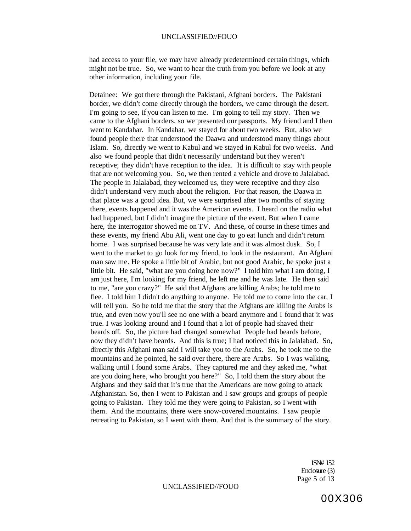had access to your file, we may have already predetermined certain things, which might not be true. So, we want to hear the truth from you before we look at any other information, including your file.

Detainee: We got there through the Pakistani, Afghani borders. The Pakistani border, we didn't come directly through the borders, we came through the desert. I'm going to see, if you can listen to me. I'm going to tell my story. Then we came to the Afghani borders, so we presented our passports. My friend and I then went to Kandahar. In Kandahar, we stayed for about two weeks. But, also we found people there that understood the Daawa and understood many things about Islam. So, directly we went to Kabul and we stayed in Kabul for two weeks. And also we found people that didn't necessarily understand but they weren't receptive; they didn't have reception to the idea. It is difficult to stay with people that are not welcoming you. So, we then rented a vehicle and drove to Jalalabad. The people in Jalalabad, they welcomed us, they were receptive and they also didn't understand very much about the religion. For that reason, the Daawa in that place was a good idea. But, we were surprised after two months of staying there, events happened and it was the American events. I heard on the radio what had happened, but I didn't imagine the picture of the event. But when I came here, the interrogator showed me on TV. And these, of course in these times and these events, my friend Abu Ali, went one day to go eat lunch and didn't return home. I was surprised because he was very late and it was almost dusk. So, I went to the market to go look for my friend, to look in the restaurant. An Afghani man saw me. He spoke a little bit of Arabic, but not good Arabic, he spoke just a little bit. He said, "what are you doing here now?" I told him what I am doing, I am just here, I'm looking for my friend, he left me and he was late. He then said to me, "are you crazy?" He said that Afghans are killing Arabs; he told me to flee. I told him I didn't do anything to anyone. He told me to come into the car, I will tell you. So he told me that the story that the Afghans are killing the Arabs is true, and even now you'll see no one with a beard anymore and I found that it was true. I was looking around and I found that a lot of people had shaved their beards off. So, the picture had changed somewhat People had beards before, now they didn't have beards. And this is true; I had noticed this in Jalalabad. So, directly this Afghani man said I will take you to the Arabs. So, he took me to the mountains and he pointed, he said over there, there are Arabs. So I was walking, walking until I found some Arabs. They captured me and they asked me, "what are you doing here, who brought you here?" So, I told them the story about the Afghans and they said that it's true that the Americans are now going to attack Afghanistan. So, then I went to Pakistan and I saw groups and groups of people going to Pakistan. They told me they were going to Pakistan, so I went with them. And the mountains, there were snow-covered mountains. I saw people retreating to Pakistan, so I went with them. And that is the summary of the story.

> 1SN# 152 Enclosure (3) Page 5 of 13

00X306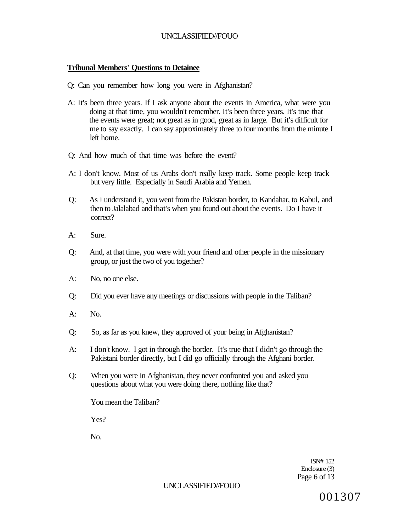# **Tribunal Members' Questions to Detainee**

- Q: Can you remember how long you were in Afghanistan?
- A: It's been three years. If I ask anyone about the events in America, what were you doing at that time, you wouldn't remember. It's been three years. It's true that the events were great; not great as in good, great as in large. But it's difficult for me to say exactly. I can say approximately three to four months from the minute I left home.
- Q: And how much of that time was before the event?
- A: I don't know. Most of us Arabs don't really keep track. Some people keep track but very little. Especially in Saudi Arabia and Yemen.
- Q: As I understand it, you went from the Pakistan border, to Kandahar, to Kabul, and then to Jalalabad and that's when you found out about the events. Do I have it correct?
- A: Sure.
- Q: And, at that time, you were with your friend and other people in the missionary group, or just the two of you together?
- A: No, no one else.
- Q: Did you ever have any meetings or discussions with people in the Taliban?
- A: No.
- Q: So, as far as you knew, they approved of your being in Afghanistan?
- A: I don't know. I got in through the border. It's true that I didn't go through the Pakistani border directly, but I did go officially through the Afghani border.
- Q: When you were in Afghanistan, they never confronted you and asked you questions about what you were doing there, nothing like that?

You mean the Taliban?

Yes?

No.

ISN# 152 Enclosure (3) Page 6 of 13

#### UNCLASSIFIED//FOUO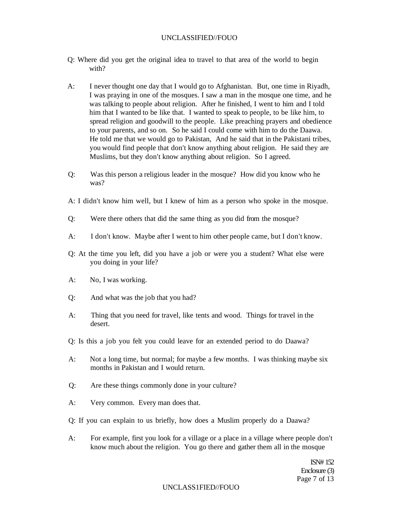- Q: Where did you get the original idea to travel to that area of the world to begin with?
- A: I never thought one day that I would go to Afghanistan. But, one time in Riyadh, I was praying in one of the mosques. I saw a man in the mosque one time, and he was talking to people about religion. After he finished, I went to him and I told him that I wanted to be like that. I wanted to speak to people, to be like him, to spread religion and goodwill to the people. Like preaching prayers and obedience to your parents, and so on. So he said I could come with him to do the Daawa. He told me that we would go to Pakistan, And he said that in the Pakistani tribes, you would find people that don't know anything about religion. He said they are Muslims, but they don't know anything about religion. So I agreed.
- Q: Was this person a religious leader in the mosque? How did you know who he was?
- A: I didn't know him well, but I knew of him as a person who spoke in the mosque.
- Q: Were there others that did the same thing as you did from the mosque?
- A: I don't know. Maybe after I went to him other people came, but I don't know.
- Q: At the time you left, did you have a job or were you a student? What else were you doing in your life?
- A: No, I was working.
- Q: And what was the job that you had?
- A: Thing that you need for travel, like tents and wood. Things for travel in the desert.
- Q: Is this a job you felt you could leave for an extended period to do Daawa?
- A: Not a long time, but normal; for maybe a few months. I was thinking maybe six months in Pakistan and I would return.
- Q: Are these things commonly done in your culture?
- A: Very common. Every man does that.
- Q: If you can explain to us briefly, how does a Muslim properly do a Daawa?
- A: For example, first you look for a village or a place in a village where people don't know much about the religion. You go there and gather them all in the mosque

ISN# 152 Enclosure (3) Page 7 of 13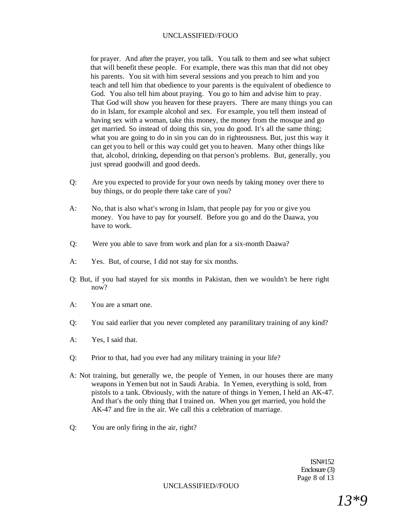for prayer. And after the prayer, you talk. You talk to them and see what subject that will benefit these people. For example, there was this man that did not obey his parents. You sit with him several sessions and you preach to him and you teach and tell him that obedience to your parents is the equivalent of obedience to God. You also tell him about praying. You go to him and advise him to pray. That God will show you heaven for these prayers. There are many things you can do in Islam, for example alcohol and sex. For example, you tell them instead of having sex with a woman, take this money, the money from the mosque and go get married. So instead of doing this sin, you do good. It's all the same thing; what you are going to do in sin you can do in righteousness. But, just this way it can get you to hell or this way could get you to heaven. Many other things like that, alcohol, drinking, depending on that person's problems. But, generally, you just spread goodwill and good deeds.

- Q: Are you expected to provide for your own needs by taking money over there to buy things, or do people there take care of you?
- A: No, that is also what's wrong in Islam, that people pay for you or give you money. You have to pay for yourself. Before you go and do the Daawa, you have to work.
- Q: Were you able to save from work and plan for a six-month Daawa?
- A: Yes. But, of course, I did not stay for six months.
- Q: But, if you had stayed for six months in Pakistan, then we wouldn't be here right now?
- A: You are a smart one.
- Q: You said earlier that you never completed any paramilitary training of any kind?
- A: Yes, I said that.
- Q: Prior to that, had you ever had any military training in your life?
- A: Not training, but generally we, the people of Yemen, in our houses there are many weapons in Yemen but not in Saudi Arabia. In Yemen, everything is sold, from pistols to a tank. Obviously, with the nature of things in Yemen, I held an AK-47. And that's the only thing that I trained on. When you get married, you hold the AK-47 and fire in the air. We call this a celebration of marriage.
- Q: You are only firing in the air, right?

ISN#152 Enclosure (3) Page 8 of 13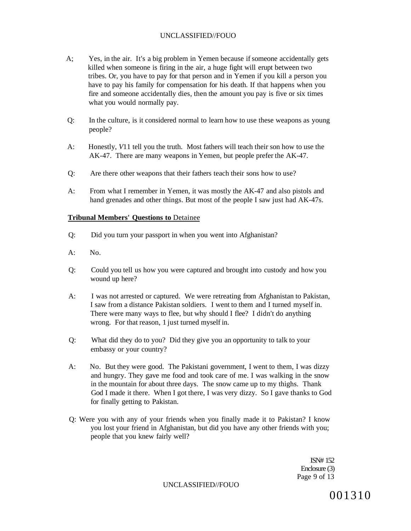- A; Yes, in the air. It's a big problem in Yemen because if someone accidentally gets killed when someone is firing in the air, a huge fight will erupt between two tribes. Or, you have to pay for that person and in Yemen if you kill a person you have to pay his family for compensation for his death. If that happens when you fire and someone accidentally dies, then the amount you pay is five or six times what you would normally pay.
- Q: In the culture, is it considered normal to learn how to use these weapons as young people?
- A: Honestly, *V*11 tell you the truth. Most fathers will teach their son how to use the AK-47. There are many weapons in Yemen, but people prefer the AK-47.
- Q: Are there other weapons that their fathers teach their sons how to use?
- A: From what I remember in Yemen, it was mostly the AK-47 and also pistols and hand grenades and other things. But most of the people I saw just had AK-47s.

#### **Tribunal Members' Questions to** Detainee

- Q: Did you turn your passport in when you went into Afghanistan?
- A: No.
- Q: Could you tell us how you were captured and brought into custody and how you wound up here?
- A: I was not arrested or captured. We were retreating from Afghanistan to Pakistan, I saw from a distance Pakistan soldiers. I went to them and I turned myself in. There were many ways to flee, but why should I flee? I didn't do anything wrong. For that reason, 1 just turned myself in.
- Q: What did they do to you? Did they give you an opportunity to talk to your embassy or your country?
- A: No. But they were good. The Pakistani government, I went to them, I was dizzy and hungry. They gave me food and took care of me. I was walking in the snow in the mountain for about three days. The snow came up to my thighs. Thank God I made it there. When I got there, I was very dizzy. So I gave thanks to God for finally getting to Pakistan.
- Q: Were you with any of your friends when you finally made it to Pakistan? I know you lost your friend in Afghanistan, but did you have any other friends with you; people that you knew fairly well?

ISN# 152 Enclosure (3) Page 9 of 13

UNCLASSIFIED//FOUO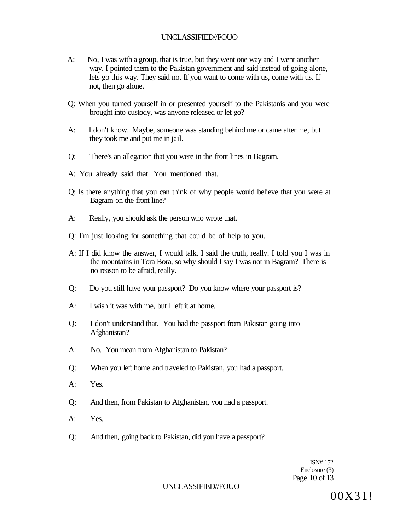- A: No, I was with a group, that is true, but they went one way and I went another way. I pointed them to the Pakistan government and said instead of going alone, lets go this way. They said no. If you want to come with us, come with us. If not, then go alone.
- Q: When you turned yourself in or presented yourself to the Pakistanis and you were brought into custody, was anyone released or let go?
- A: I don't know. Maybe, someone was standing behind me or came after me, but they took me and put me in jail.
- Q: There's an allegation that you were in the front lines in Bagram.
- A: You already said that. You mentioned that.
- Q: Is there anything that you can think of why people would believe that you were at Bagram on the front line?
- A: Really, you should ask the person who wrote that.
- Q: I'm just looking for something that could be of help to you.
- A: If I did know the answer, I would talk. I said the truth, really. I told you I was in the mountains in Tora Bora, so why should I say I was not in Bagram? There is no reason to be afraid, really.
- Q: Do you still have your passport? Do you know where your passport is?
- A: I wish it was with me, but I left it at home.
- Q: I don't understand that. You had the passport from Pakistan going into Afghanistan?
- A: No. You mean from Afghanistan to Pakistan?
- Q: When you left home and traveled to Pakistan, you had a passport.
- A: Yes.
- Q: And then, from Pakistan to Afghanistan, you had a passport.
- A: Yes.
- Q: And then, going back to Pakistan, did you have a passport?

ISN# 152 Enclosure (3) Page 10 of 13

# UNCLASSIFIED//FOUO

00X31!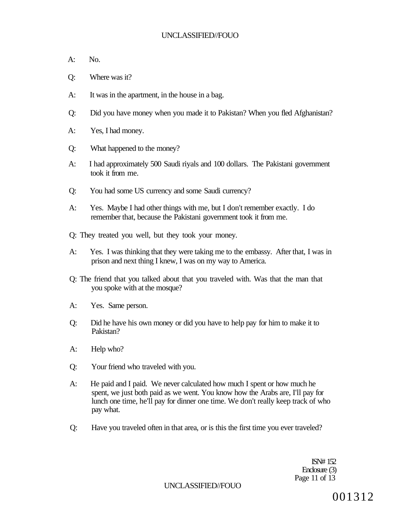- A: No.
- Q: Where was it?
- A: It was in the apartment, in the house in a bag.
- Q: Did you have money when you made it to Pakistan? When you fled Afghanistan?
- A: Yes, I had money.
- Q: What happened to the money?
- A: I had approximately 500 Saudi riyals and 100 dollars. The Pakistani government took it from me.
- Q: You had some US currency and some Saudi currency?
- A: Yes. Maybe I had other things with me, but I don't remember exactly. I do remember that, because the Pakistani government took it from me.
- Q: They treated you well, but they took your money.
- A: Yes. I was thinking that they were taking me to the embassy. After that, I was in prison and next thing I knew, I was on my way to America.
- Q: The friend that you talked about that you traveled with. Was that the man that you spoke with at the mosque?
- A: Yes. Same person.
- Q: Did he have his own money or did you have to help pay for him to make it to Pakistan?
- A: Help who?
- Q: Your friend who traveled with you.
- A: He paid and I paid. We never calculated how much I spent or how much he spent, we just both paid as we went. You know how the Arabs are, I'll pay for lunch one time, he'll pay for dinner one time. We don't really keep track of who pay what.
- Q: Have you traveled often in that area, or is this the first time you ever traveled?

ISN# 152 Enclosure (3) Page 11 of 13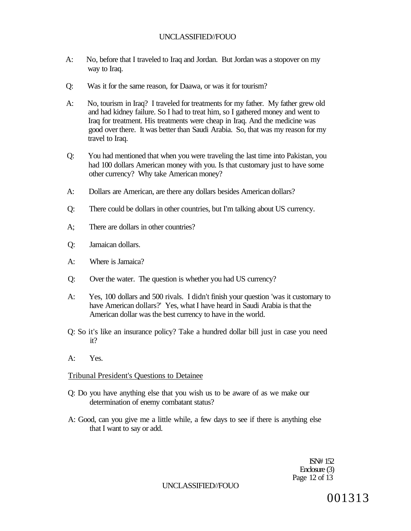- A: No, before that I traveled to Iraq and Jordan. But Jordan was a stopover on my way to Iraq.
- Q: Was it for the same reason, for Daawa, or was it for tourism?
- A: No, tourism in Iraq? I traveled for treatments for my father. My father grew old and had kidney failure. So I had to treat him, so I gathered money and went to Iraq for treatment. His treatments were cheap in Iraq. And the medicine was good over there. It was better than Saudi Arabia. So, that was my reason for my travel to Iraq.
- Q: You had mentioned that when you were traveling the last time into Pakistan, you had 100 dollars American money with you. Is that customary just to have some other currency? Why take American money?
- A: Dollars are American, are there any dollars besides American dollars?
- Q: There could be dollars in other countries, but I'm talking about US currency.
- A; There are dollars in other countries?
- Q: Jamaican dollars.
- A: Where is Jamaica?
- Q: Over the water. The question is whether you had US currency?
- A: Yes, 100 dollars and 500 rivals. I didn't finish your question 'was it customary to have American dollars?' Yes, what I have heard in Saudi Arabia is that the American dollar was the best currency to have in the world.
- Q: So it's like an insurance policy? Take a hundred dollar bill just in case you need it?
- $A^T$  Yes.

#### Tribunal President's Questions to Detainee

- Q: Do you have anything else that you wish us to be aware of as we make our determination of enemy combatant status?
- A: Good, can you give me a little while, a few days to see if there is anything else that I want to say or add.

ISN# 152 Enclosure (3) Page 12 of 13

#### UNCLASSIFIED//FOUO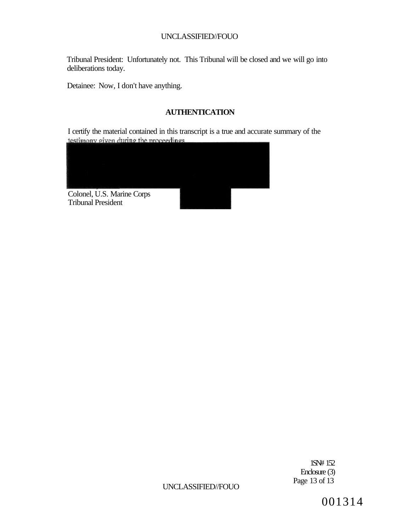Tribunal President: Unfortunately not. This Tribunal will be closed and we will go into deliberations today.

Detainee: Now, I don't have anything.

# **AUTHENTICATION**

I certify the material contained in this transcript is a true and accurate summary of the



1SN# 152 Enclosure (3) Page 13 of 13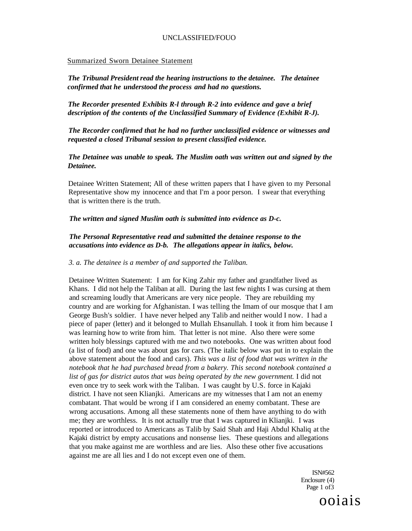#### Summarized Sworn Detainee Statement

*The Tribunal President read the hearing instructions to the detainee. The detainee confirmed that he understood the process and had no questions.* 

*The Recorder presented Exhibits R-l through R-2 into evidence and gave a brief description of the contents of the Unclassified Summary of Evidence (Exhibit R-J).* 

*The Recorder confirmed that he had no further unclassified evidence or witnesses and requested a closed Tribunal session to present classified evidence.* 

*The Detainee was unable to speak. The Muslim oath was written out and signed by the Detainee.* 

Detainee Written Statement; All of these written papers that I have given to my Personal Representative show my innocence and that I'm a poor person. I swear that everything that is written there is the truth.

#### *The written and signed Muslim oath is submitted into evidence as D-c.*

#### *The Personal Representative read and submitted the detainee response to the accusations into evidence as D-b. The allegations appear in italics, below.*

#### *3. a. The detainee is a member of and supported the Taliban.*

Detainee Written Statement: I am for King Zahir my father and grandfather lived as Khans. I did not help the Taliban at all. During the last few nights I was cursing at them and screaming loudly that Americans are very nice people. They are rebuilding my country and are working for Afghanistan. I was telling the Imam of our mosque that I am George Bush's soldier. I have never helped any Talib and neither would I now. I had a piece of paper (letter) and it belonged to Mullah Ehsanullah. I took it from him because I was learning how to write from him. That letter is not mine. Also there were some written holy blessings captured with me and two notebooks. One was written about food (a list of food) and one was about gas for cars. (The italic below was put in to explain the above statement about the food and cars). *This was a list of food that was written in the notebook that he had purchased bread from a bakery. This second notebook contained a list of gas for district autos that was being operated by the new government.* I did not even once try to seek work with the Taliban. I was caught by U.S. force in Kajaki district. I have not seen Klianjki. Americans are my witnesses that I am not an enemy combatant. That would be wrong if I am considered an enemy combatant. These are wrong accusations. Among all these statements none of them have anything to do with me; they are worthless. It is not actually true that I was captured in Klianjki. I was reported or introduced to Americans as Talib by Said Shah and Haji Abdul Khaliq at the Kajaki district by empty accusations and nonsense lies. These questions and allegations that you make against me are worthless and are lies. Also these other five accusations against me are all lies and I do not except even one of them.

> ISN#562 Enclosure (4) Page 1 of 3

ooiais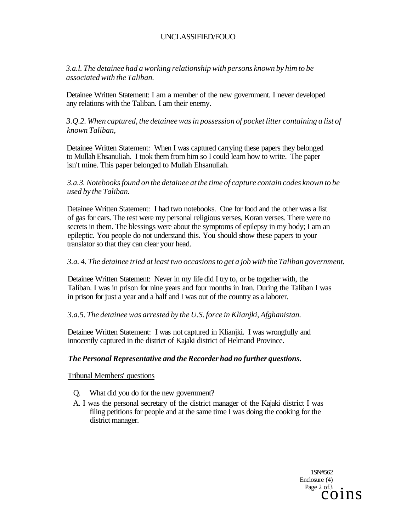*3.a.l. The detainee had a working relationship with persons known by him to be associated with the Taliban.* 

Detainee Written Statement: I am a member of the new government. I never developed any relations with the Taliban. I am their enemy.

*3.Q.2. When captured, the detainee was in possession of pocket litter containing a list of known Taliban,* 

Detainee Written Statement: When I was captured carrying these papers they belonged to Mullah Ehsanuliah. I took them from him so I could learn how to write. The paper isn't mine. This paper belonged to Mullah Ehsanuliah.

# *3.a.3. Notebooks found on the detainee at the time of capture contain codes known to be used by the Taliban.*

Detainee Written Statement: I had two notebooks. One for food and the other was a list of gas for cars. The rest were my personal religious verses, Koran verses. There were no secrets in them. The blessings were about the symptoms of epilepsy in my body; I am an epileptic. You people do not understand this. You should show these papers to your translator so that they can clear your head.

# *3.a. 4. The detainee tried at least two occasions to get a job with the Taliban government.*

Detainee Written Statement: Never in my life did I try to, or be together with, the Taliban. I was in prison for nine years and four months in Iran. During the Taliban I was in prison for just a year and a half and I was out of the country as a laborer.

#### *3.a.5. The detainee was arrested by the U.S. force in Klianjki, Afghanistan.*

Detainee Written Statement: I was not captured in Klianjki. I was wrongfully and innocently captured in the district of Kajaki district of Helmand Province.

# *The Personal Representative and the Recorder had no further questions.*

Tribunal Members' questions

- Q. What did you do for the new government?
- A. I was the personal secretary of the district manager of the Kajaki district I was filing petitions for people and at the same time I was doing the cooking for the district manager.

1SN#562 Enclosure (4)<br>Page 2 of 3  $C<sub>O</sub>1<sub>D</sub>$  s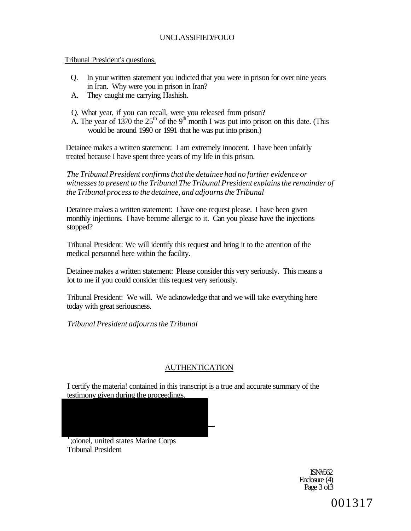Tribunal President's questions,

- Q. In your written statement you indicted that you were in prison for over nine years in Iran. Why were you in prison in Iran?
- A. They caught me carrying Hashish.
- Q. What year, if you can recall, were you released from prison?
- A. The year of 1370 the  $25<sup>th</sup>$  of the 9<sup>th</sup> month I was put into prison on this date. (This would be around 1990 or 1991 that he was put into prison.)

Detainee makes a written statement: I am extremely innocent. I have been unfairly treated because I have spent three years of my life in this prison.

*The Tribunal President confirms that the detainee had no further evidence or witnesses to present to the Tribunal The Tribunal President explains the remainder of the Tribunal process to the detainee, and adjourns the Tribunal* 

Detainee makes a written statement: I have one request please. I have been given monthly injections. I have become allergic to it. Can you please have the injections stopped?

Tribunal President: We will identify this request and bring it to the attention of the medical personnel here within the facility.

Detainee makes a written statement: Please consider this very seriously. This means a lot to me if you could consider this request very seriously.

Tribunal President: We will. We acknowledge that and we will take everything here today with great seriousness.

*Tribunal President adjourns the Tribunal* 

# AUTHENTICATION

I certify the materia! contained in this transcript is a true and accurate summary of the testimony given during the proceedings.

;oionel, united states Marine Corps Tribunal President

> ISN#562 Enclosure (4) Page 3 of3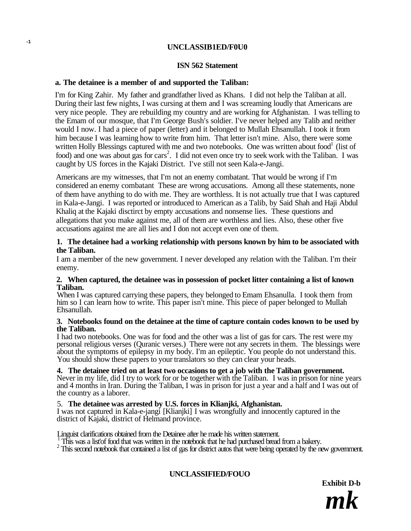# **UNCLASSIB1ED/F0U0**

#### **ISN 562 Statement**

#### **a. The detainee is a member of and supported the Taliban:**

**-1** 

I'm for King Zahir. My father and grandfather lived as Khans. I did not help the Taliban at all. During their last few nights, I was cursing at them and I was screaming loudly that Americans are very nice people. They are rebuilding my country and are working for Afghanistan. I was telling to the Emam of our mosque, that I'm George Bush's soldier. I've never helped any Talib and neither would I now. I had a piece of paper (letter) and it belonged to Mullah Ehsanullah. I took it from him because I was learning how to write from him. That letter isn't mine. Also, there were some written Holly Blessings captured with me and two notebooks. One was written about food<sup>1</sup> (list of food) and one was about gas for cars<sup>2</sup>. I did not even once try to seek work with the Taliban. I was caught by US forces in the Kajaki District. I've still not seen Kala-e-Jangi.

Americans are my witnesses, that I'm not an enemy combatant. That would be wrong if I'm considered an enemy combatant These are wrong accusations. Among all these statements, none of them have anything to do with me. They are worthless. It is not actually true that I was captured in Kala-e-Jangi. I was reported or introduced to American as a Talib, by Said Shah and Haji Abdul Khaliq at the Kajaki disctirct by empty accusations and nonsense lies. These questions and allegations that you make against me, all of them are worthless and lies. Also, these other five accusations against me are all lies and I don not accept even one of them.

#### **1. The detainee had a working relationship with persons known by him to be associated with the Taliban.**

I am a member of the new government. I never developed any relation with the Taliban. I'm their enemy.

#### **2. When captured, the detainee was in possession of pocket litter containing a list of known Taliban.**

When I was captured carrying these papers, they belonged to Emam Ehsanulla. I took them from him so I can learn how to write. This paper isn't mine. This piece of paper belonged to Mullah Ehsanullah.

#### **3. Notebooks found on the detainee at the time of capture contain codes known to be used by the Taliban.**

I had two notebooks. One was for food and the other was a list of gas for cars. The rest were my personal religious verses (Quranic verses.) There were not any secrets in them. The blessings were about the symptoms of epilepsy in my body. I'm an epileptic. You people do not understand this. You should show these papers to your translators so they can clear your heads.

# **4. The detainee tried on at least two occasions to get a job with the Taliban government.**

Never in my life, did I try to work for or be together with the Taliban. I was in prison for nine years and 4 months in Iran. During the Taliban, I was in prison for just a year and a half and I was out of the country as a laborer.

#### 5. **The detainee was arrested by U.S. forces in Klianjki, Afghanistan.**

I was not captured in Kala-e-jangi [Klianjki] I was wrongfully and innocently captured in the district of Kajaki, district of Helmand province.

Linguist clarifications obtained from the Detainee after he made his written statement.<br>  $\frac{1}{1}$  This was a list'of food that was written in the notebook that he had purchased bread from a bakery.<br>  $\frac{2}{1}$  This second

# **UNCLASSIFIED/FOUO**

**Exhibit D-b** 

*mk*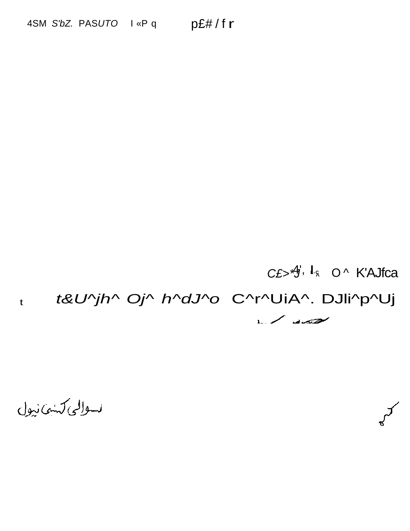# $CE > 4$ ,  $I_8$  O^ K'AJfca

#### t&U^jh^ Oj^ h^dJ^o C^r^UiA^. DJli^p^Uj  $\mathbf t$

Let suite

لسوالى كشف نيول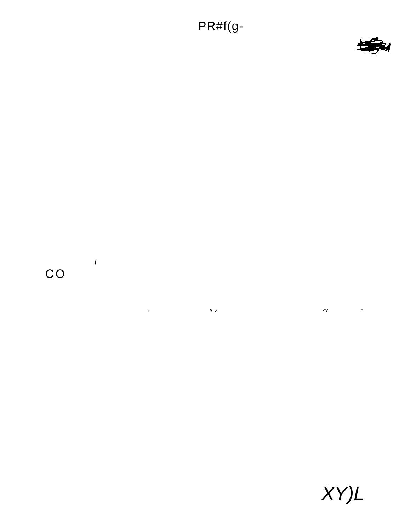# PR#f(g-



# $CO$

 $\overline{1}$ 

 $\mathbf{v}_{\perp}$ .  $\ddot{\cdot}$ 



 $\sim 10^{11}$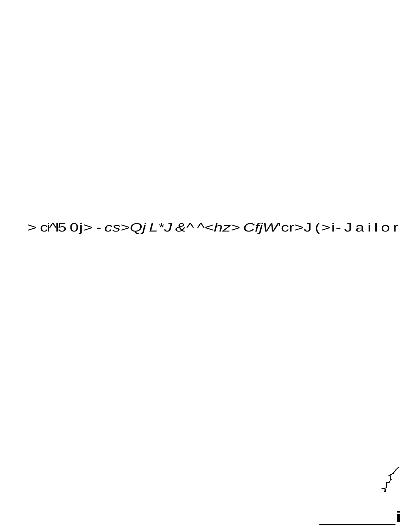> ci^45 0j > - cs > Qj L \*J & ^ ^<hz > Cfj W cr > J ( > i- J a i l o r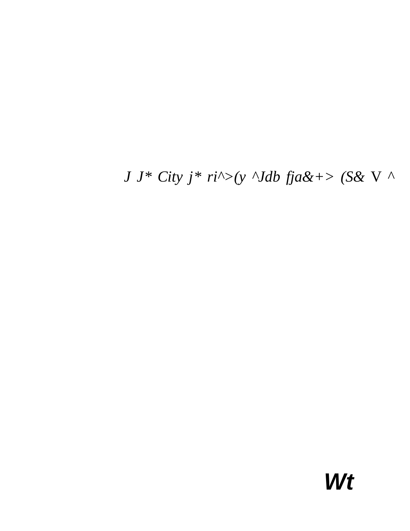$J J^* City j^* ri^*>(y \Delta B fja\&+> (S \& V \Delta B fja\&+> S \& V \&+> S \& V \&+> S \& V \&+> S \& V \&+> S \& V \&+> S \& V \&+> S \& V \&+> S \& V \&+> S \& V \&+> S \& V \&+> S \& V \&+> S \& V \&+> S \& V \&+> S \& V \&+> S \& V \&+> S \& V \&+> S \& V \&+> S \& V \&+>$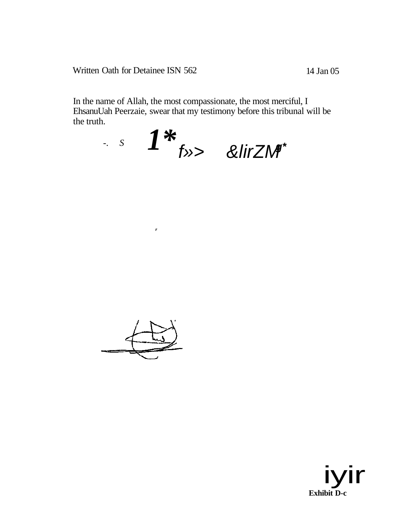Written Oath for Detainee ISN 562

In the name of Allah, the most compassionate, the most merciful, I EhsanuUah Peerzaie, swear that my testimony before this tribunal will be the truth.

$$
s \quad I^* \quad f \quad \text{all}
$$



 $\mathbf{r}$ 

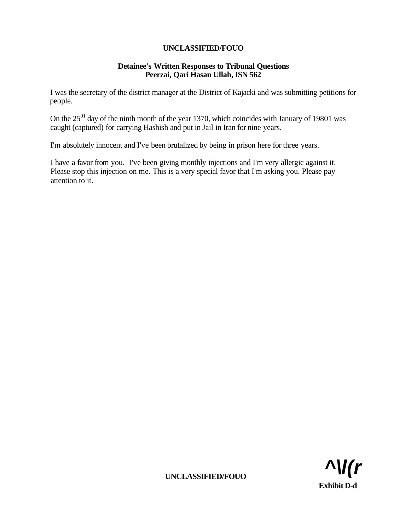# **Detainee's Written Responses to Tribunal Questions Peerzai, Qari Hasan Ullah, ISN 562**

I was the secretary of the district manager at the District of Kajacki and was submitting petitions for people.

On the  $25^{01}$  day of the ninth month of the year 1370, which coincides with January of 19801 was caught (captured) for carrying Hashish and put in Jail in Iran for nine years.

I'm absolutely innocent and I've been brutalized by being in prison here for three years.

I have a favor from you. I've been giving monthly injections and I'm very allergic against it. Please stop this injection on me. This is a very special favor that I'm asking you. Please pay attention to it.